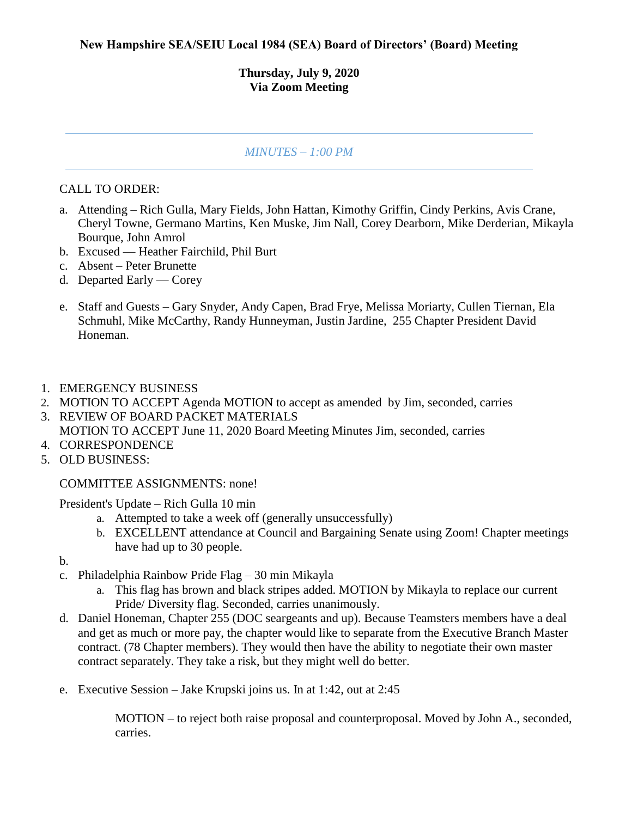## **Thursday, July 9, 2020 Via Zoom Meeting**

## *MINUTES – 1:00 PM*

## CALL TO ORDER:

- a. Attending Rich Gulla, Mary Fields, John Hattan, Kimothy Griffin, Cindy Perkins, Avis Crane, Cheryl Towne, Germano Martins, Ken Muske, Jim Nall, Corey Dearborn, Mike Derderian, Mikayla Bourque, John Amrol
- b. Excused Heather Fairchild, Phil Burt
- c. Absent Peter Brunette
- d. Departed Early Corey
- e. Staff and Guests Gary Snyder, Andy Capen, Brad Frye, Melissa Moriarty, Cullen Tiernan, Ela Schmuhl, Mike McCarthy, Randy Hunneyman, Justin Jardine, 255 Chapter President David Honeman.
- 1. EMERGENCY BUSINESS
- 2. MOTION TO ACCEPT Agenda MOTION to accept as amended by Jim, seconded, carries
- 3. REVIEW OF BOARD PACKET MATERIALS MOTION TO ACCEPT June 11, 2020 Board Meeting Minutes Jim, seconded, carries
- 4. CORRESPONDENCE
- 5. OLD BUSINESS:

COMMITTEE ASSIGNMENTS: none!

President's Update – Rich Gulla 10 min

- a. Attempted to take a week off (generally unsuccessfully)
- b. EXCELLENT attendance at Council and Bargaining Senate using Zoom! Chapter meetings have had up to 30 people.

b.

- c. Philadelphia Rainbow Pride Flag 30 min Mikayla
	- a. This flag has brown and black stripes added. MOTION by Mikayla to replace our current Pride/ Diversity flag. Seconded, carries unanimously.
- d. Daniel Honeman, Chapter 255 (DOC seargeants and up). Because Teamsters members have a deal and get as much or more pay, the chapter would like to separate from the Executive Branch Master contract. (78 Chapter members). They would then have the ability to negotiate their own master contract separately. They take a risk, but they might well do better.
- e. Executive Session Jake Krupski joins us. In at 1:42, out at 2:45

MOTION – to reject both raise proposal and counterproposal. Moved by John A., seconded, carries.